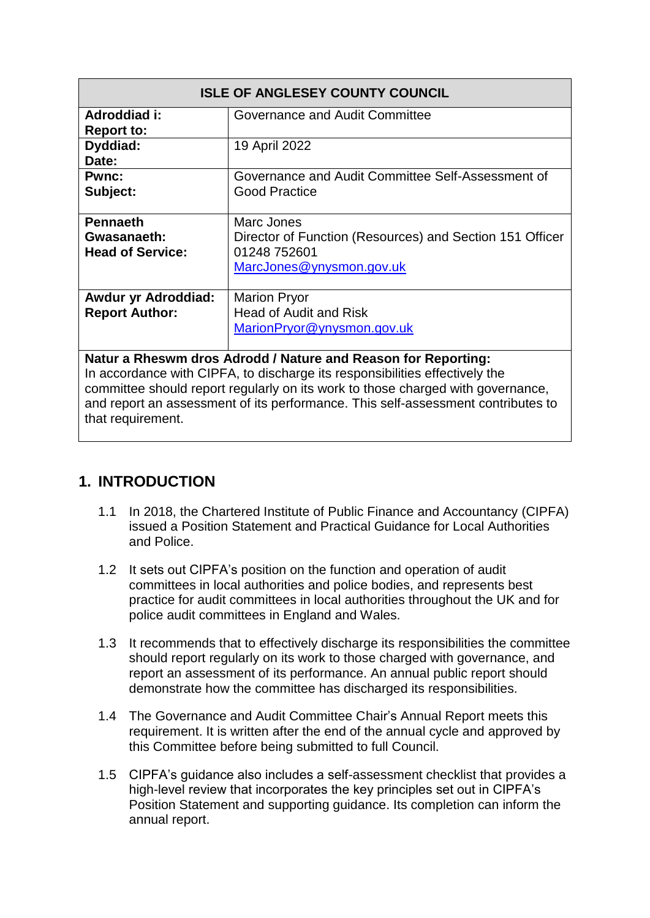| <b>ISLE OF ANGLESEY COUNTY COUNCIL</b>                                                                                                                                                                                                                                                                              |                                                                                                                    |
|---------------------------------------------------------------------------------------------------------------------------------------------------------------------------------------------------------------------------------------------------------------------------------------------------------------------|--------------------------------------------------------------------------------------------------------------------|
| Adroddiad i:<br><b>Report to:</b>                                                                                                                                                                                                                                                                                   | Governance and Audit Committee                                                                                     |
| Dyddiad:<br>Date:                                                                                                                                                                                                                                                                                                   | 19 April 2022                                                                                                      |
| <b>Pwnc:</b><br>Subject:                                                                                                                                                                                                                                                                                            | Governance and Audit Committee Self-Assessment of<br><b>Good Practice</b>                                          |
| <b>Pennaeth</b><br>Gwasanaeth:<br><b>Head of Service:</b>                                                                                                                                                                                                                                                           | Marc Jones<br>Director of Function (Resources) and Section 151 Officer<br>01248 752601<br>MarcJones@ynysmon.gov.uk |
| <b>Awdur yr Adroddiad:</b><br><b>Report Author:</b>                                                                                                                                                                                                                                                                 | <b>Marion Pryor</b><br><b>Head of Audit and Risk</b><br>MarionPryor@ynysmon.gov.uk                                 |
| Natur a Rheswm dros Adrodd / Nature and Reason for Reporting:<br>In accordance with CIPFA, to discharge its responsibilities effectively the<br>committee should report regularly on its work to those charged with governance,<br>and report an assessment of its performance. This self-assessment contributes to |                                                                                                                    |

that requirement.

### **1. INTRODUCTION**

- 1.1 In 2018, the Chartered Institute of Public Finance and Accountancy (CIPFA) issued a Position Statement and Practical Guidance for Local Authorities and Police.
- 1.2 It sets out CIPFA's position on the function and operation of audit committees in local authorities and police bodies, and represents best practice for audit committees in local authorities throughout the UK and for police audit committees in England and Wales.
- 1.3 It recommends that to effectively discharge its responsibilities the committee should report regularly on its work to those charged with governance, and report an assessment of its performance. An annual public report should demonstrate how the committee has discharged its responsibilities.
- 1.4 The Governance and Audit Committee Chair's Annual Report meets this requirement. It is written after the end of the annual cycle and approved by this Committee before being submitted to full Council.
- 1.5 CIPFA's guidance also includes a self-assessment checklist that provides a high-level review that incorporates the key principles set out in CIPFA's Position Statement and supporting guidance. Its completion can inform the annual report.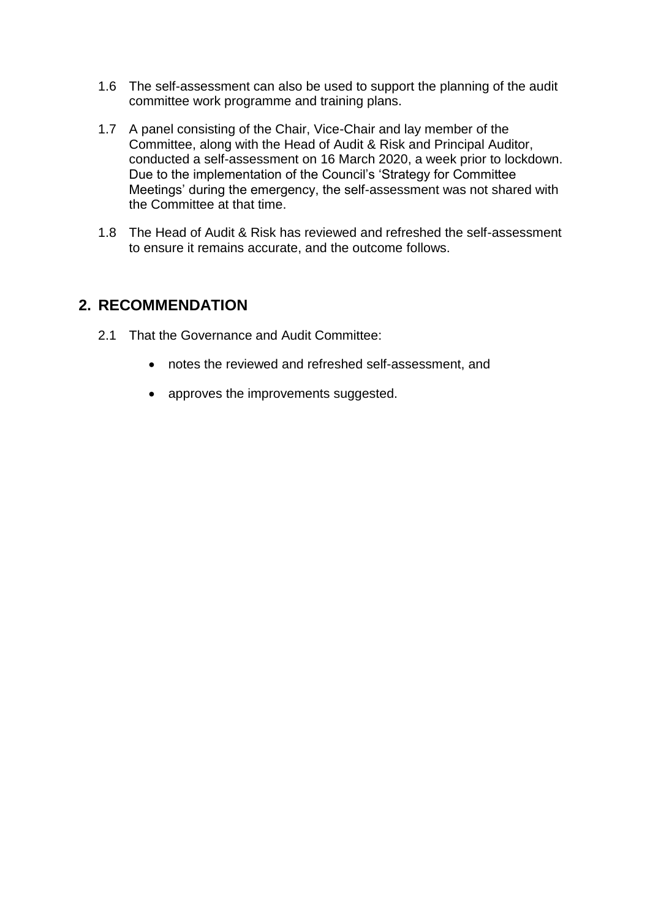- 1.6 The self-assessment can also be used to support the planning of the audit committee work programme and training plans.
- 1.7 A panel consisting of the Chair, Vice-Chair and lay member of the Committee, along with the Head of Audit & Risk and Principal Auditor, conducted a self-assessment on 16 March 2020, a week prior to lockdown. Due to the implementation of the Council's 'Strategy for Committee Meetings' during the emergency, the self-assessment was not shared with the Committee at that time.
- 1.8 The Head of Audit & Risk has reviewed and refreshed the self-assessment to ensure it remains accurate, and the outcome follows.

### **2. RECOMMENDATION**

- 2.1 That the Governance and Audit Committee:
	- notes the reviewed and refreshed self-assessment, and
	- approves the improvements suggested.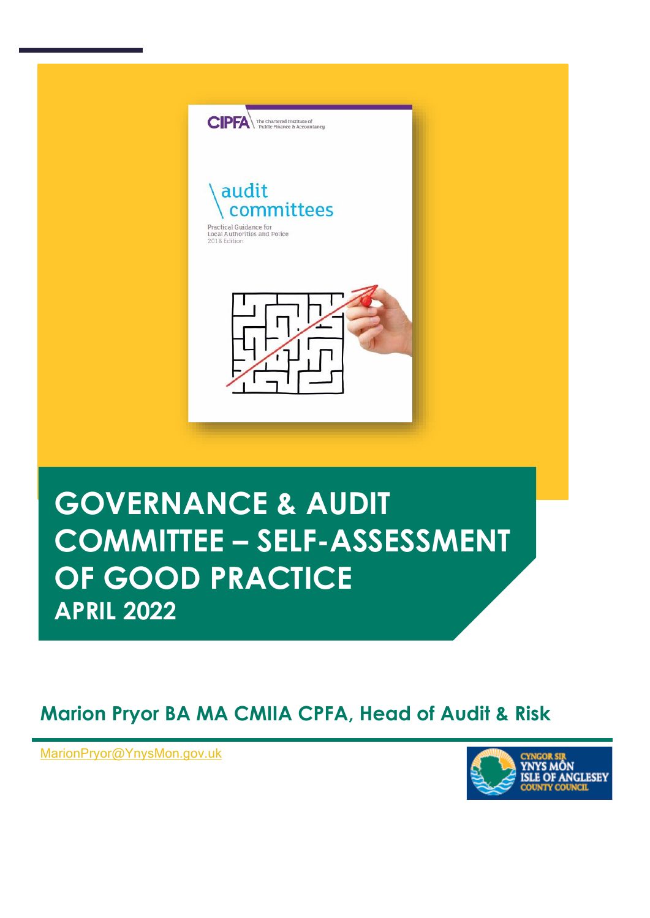

# **GOVERNANCE & AUDIT COMMITTEE – SELF-ASSESSMENT OF GOOD PRACTICE APRIL 2022**

## **Marion Pryor BA MA CMIIA CPFA, Head of Audit & Risk**

**, Head of Audit & Risk** [MarionPryor@YnysMon.gov.uk](mailto:MarionPryor@YnysMon.gov.uk)

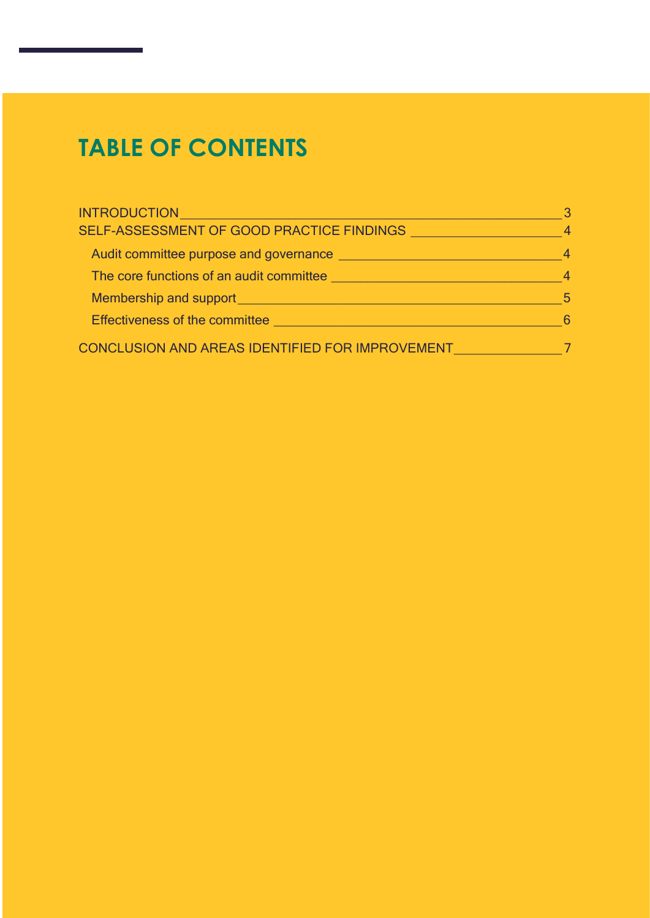## **TABLE OF CONTENTS**

| <b>INTRODUCTION</b>                                                                          |    |
|----------------------------------------------------------------------------------------------|----|
| SELF-ASSESSMENT OF GOOD PRACTICE FINDINGS THE RESERVE TO A SECTION OF GOOD PRACTICE FINDINGS |    |
| Audit committee purpose and governance                                                       |    |
| The core functions of an audit committee                                                     |    |
| Membership and support                                                                       | .5 |
| <b>Effectiveness of the committee</b>                                                        | 6  |
| CONCLUSION AND AREAS IDENTIFIED FOR IMPROVEMENT                                              |    |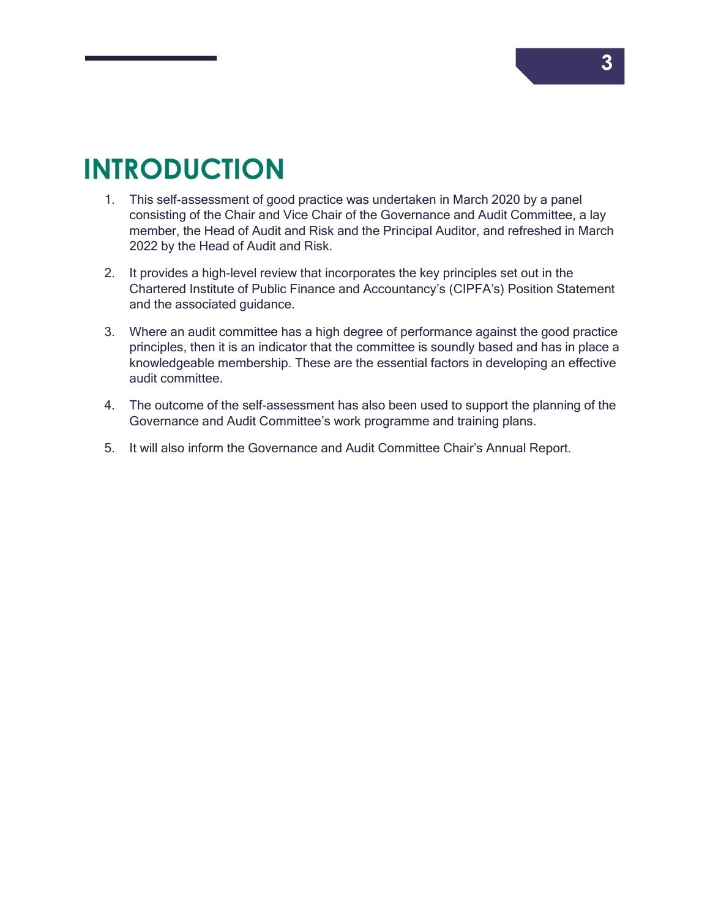## <span id="page-4-0"></span>**INTRODUCTION**

- 1. This self-assessment of good practice was undertaken in March 2020 by a panel consisting of the Chair and Vice Chair of the Governance and Audit Committee, a lay member, the Head of Audit and Risk and the Principal Auditor, and refreshed in March 2022 by the Head of Audit and Risk.
- 2. It provides a high-level review that incorporates the key principles set out in the Chartered Institute of Public Finance and Accountancy's (CIPFA's) Position Statement and the associated guidance.
- 3. Where an audit committee has a high degree of performance against the good practice principles, then it is an indicator that the committee is soundly based and has in place a knowledgeable membership. These are the essential factors in developing an effective audit committee.
- 4. The outcome of the self-assessment has also been used to support the planning of the Governance and Audit Committee's work programme and training plans.
- 5. It will also inform the Governance and Audit Committee Chair's Annual Report.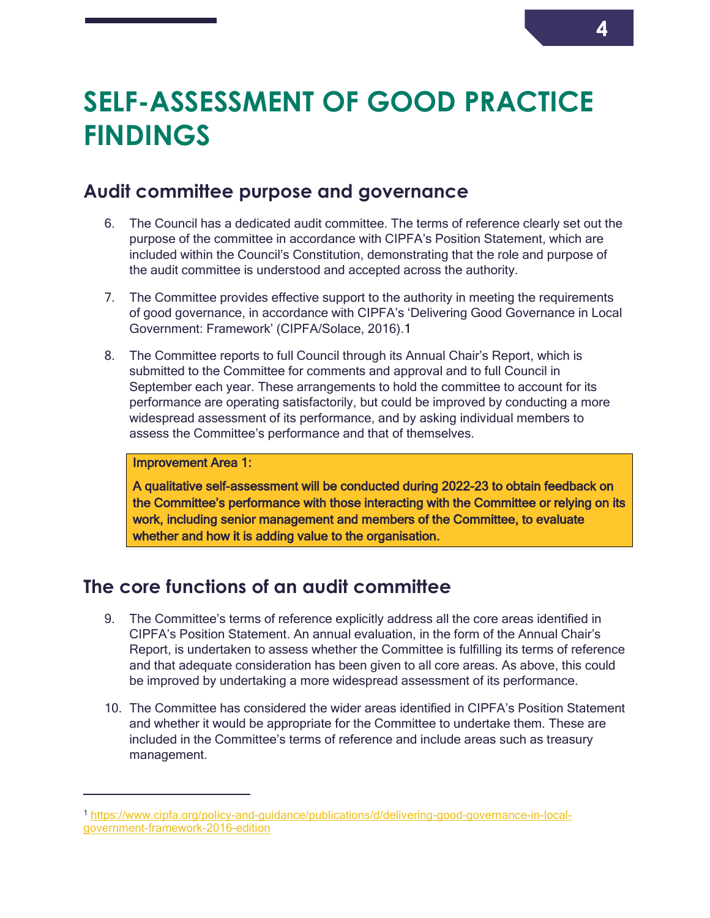## **SELF-ASSESSMENT OF GOOD PRACTICE FINDINGS**

## <span id="page-5-4"></span><span id="page-5-0"></span>**Audit committee purpose and governance**

- <span id="page-5-1"></span>6. The Council has a dedicated audit committee. The terms of reference clearly set out the purpose of the committee in accordance with CIPFA's Position Statement, which are included within the Council's Constitution, demonstrating that the role and purpose of the audit committee is understood and accepted across the authority.
- 7. The Committee provides effective support to the authority in meeting the requirements of good governance, in accordance with CIPFA's 'Delivering Good Governance in Local Government: Framework' (CIPFA/Solace, 2016).1
- 8. The Committee reports to full Council through its Annual Chair's Report, which is submitted to the Committee for comments and approval and to full Council in September each year. These arrangements to hold the committee to account for its performance are operating satisfactorily, but could be improved by conducting a more widespread assessment of its performance, and by asking individual members to assess the Committee's performance and that of themselves.

#### <span id="page-5-3"></span>Improvement Area 1:

 $\overline{a}$ 

A qualitative self-assessment will be conducted during 2022-23 to obtain feedback on the Committee's performance with those interacting with the Committee or relying on its work, including senior management and members of the Committee, to evaluate whether and how it is adding value to the organisation.

## **The core functions of an audit committee**

- <span id="page-5-2"></span>9. The Committee's terms of reference explicitly address all the core areas identified in CIPFA's Position Statement. An annual evaluation, in the form of the Annual Chair's Report, is undertaken to assess whether the Committee is fulfilling its terms of reference and that adequate consideration has been given to all core areas. As above, this could be improved by undertaking a more widespread assessment of its performance.
- 10. The Committee has considered the wider areas identified in CIPFA's Position Statement and whether it would be appropriate for the Committee to undertake them. These are included in the Committee's terms of reference and include areas such as treasury management.

<sup>1</sup> [https://www.cipfa.org/policy-and-guidance/publications/d/delivering-good-governance-in-local](https://www.cipfa.org/policy-and-guidance/publications/d/delivering-good-governance-in-local-government-framework-2016-edition)[government-framework-2016-edition](https://www.cipfa.org/policy-and-guidance/publications/d/delivering-good-governance-in-local-government-framework-2016-edition)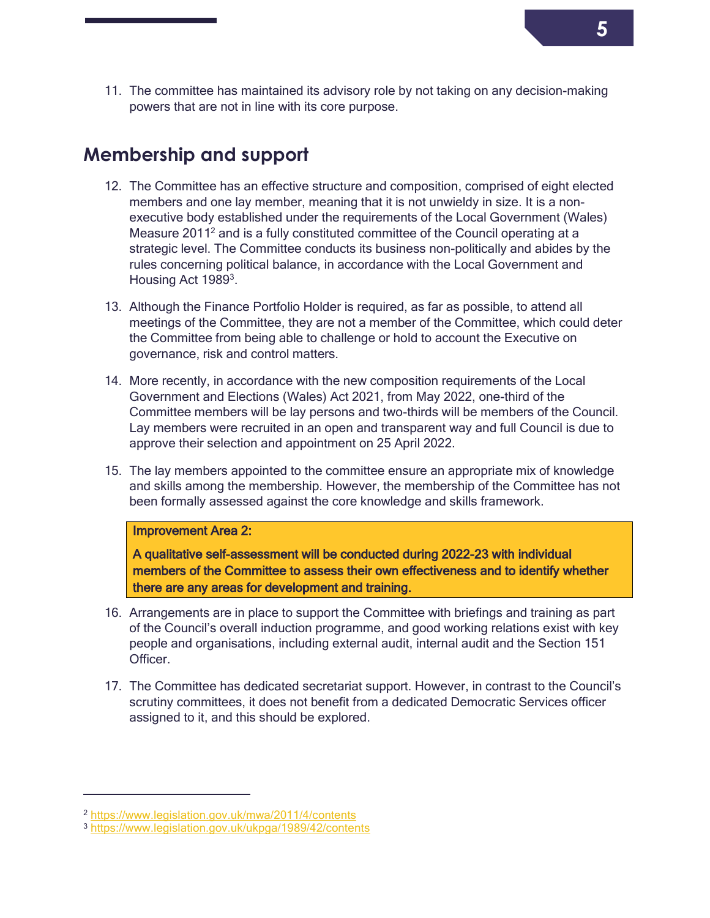11. The committee has maintained its advisory role by not taking on any decision-making powers that are not in line with its core purpose.

### **Membership and support**

- <span id="page-6-0"></span>12. The Committee has an effective structure and composition, comprised of eight elected members and one lay member, meaning that it is not unwieldy in size. It is a nonexecutive body established under the requirements of the Local Government (Wales) Measure 2011<sup>2</sup> and is a fully constituted committee of the Council operating at a strategic level. The Committee conducts its business non-politically and abides by the rules concerning political balance, in accordance with the Local Government and Housing Act 1989<sup>3</sup>.
- 13. Although the Finance Portfolio Holder is required, as far as possible, to attend all meetings of the Committee, they are not a member of the Committee, which could deter the Committee from being able to challenge or hold to account the Executive on governance, risk and control matters.
- 14. More recently, in accordance with the new composition requirements of the Local Government and Elections (Wales) Act 2021, from May 2022, one-third of the Committee members will be lay persons and two-thirds will be members of the Council. Lay members were recruited in an open and transparent way and full Council is due to approve their selection and appointment on 25 April 2022.
- 15. The lay members appointed to the committee ensure an appropriate mix of knowledge and skills among the membership. However, the membership of the Committee has not been formally assessed against the core knowledge and skills framework.

#### Improvement Area 2:

A qualitative self-assessment will be conducted during 2022-23 with individual members of the Committee to assess their own effectiveness and to identify whether there are any areas for development and training.

- 16. Arrangements are in place to support the Committee with briefings and training as part of the Council's overall induction programme, and good working relations exist with key people and organisations, including external audit, internal audit and the Section 151 **Officer**
- 17. The Committee has dedicated secretariat support. However, in contrast to the Council's scrutiny committees, it does not benefit from a dedicated Democratic Services officer assigned to it, and this should be explored.

 $\overline{a}$ 

<sup>2</sup> <https://www.legislation.gov.uk/mwa/2011/4/contents>

<sup>3</sup> <https://www.legislation.gov.uk/ukpga/1989/42/contents>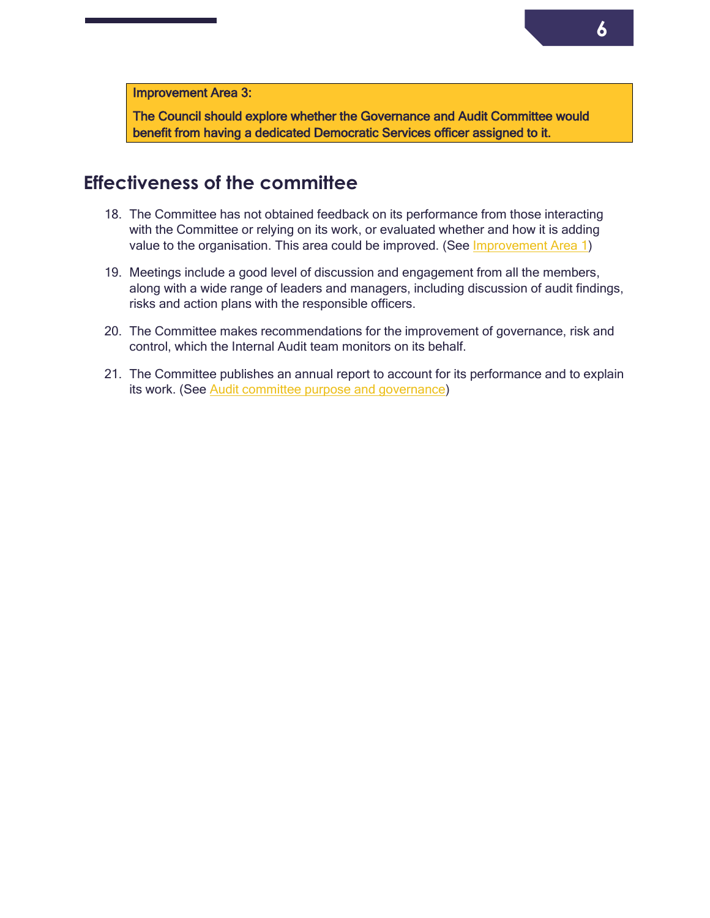Improvement Area 3:

The Council should explore whether the Governance and Audit Committee would benefit from having a dedicated Democratic Services officer assigned to it.

### **Effectiveness of the committee**

- <span id="page-7-0"></span>18. The Committee has not obtained feedback on its performance from those interacting with the Committee or relying on its work, or evaluated whether and how it is adding value to the organisation. This area could be improved. (See *Improvement Area 1)*
- 19. Meetings include a good level of discussion and engagement from all the members, along with a wide range of leaders and managers, including discussion of audit findings, risks and action plans with the responsible officers.
- 20. The Committee makes recommendations for the improvement of governance, risk and control, which the Internal Audit team monitors on its behalf.
- 21. The Committee publishes an annual report to account for its performance and to explain its work. (See [Audit committee purpose and governance\)](#page-5-4)